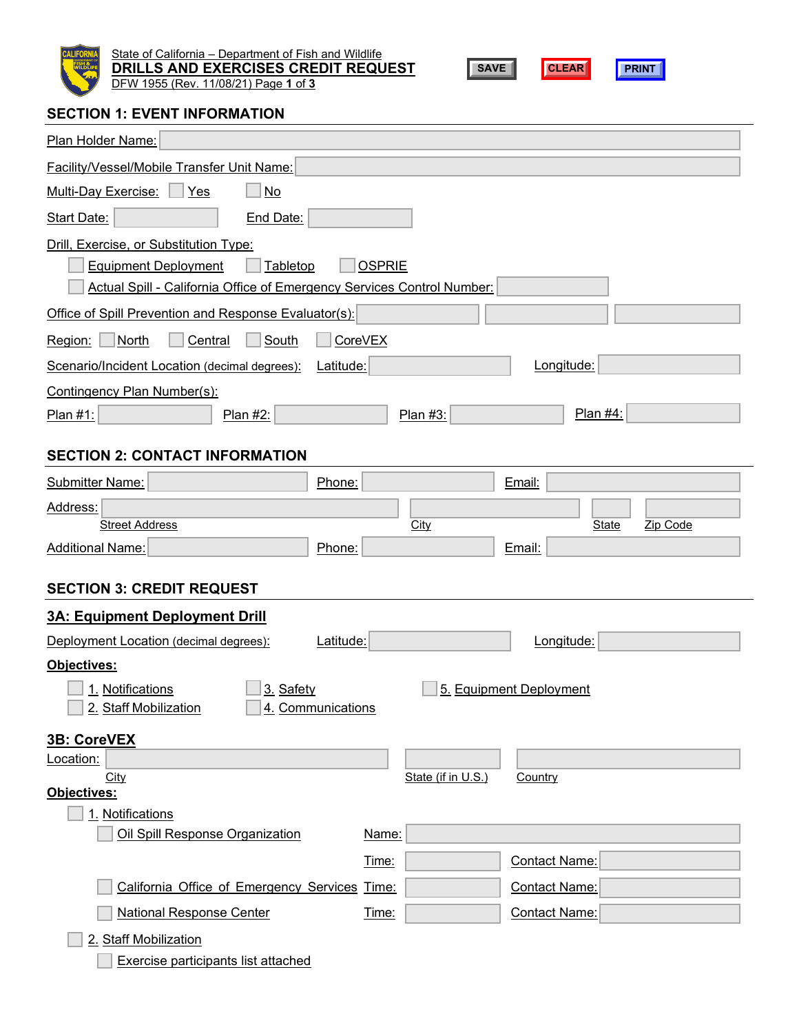

State of California – Department of Fish and Wildlife **DRILLS AND EXERCISES CREDIT REQUEST** DFW 1955 (Rev. 11/08/21) Page **1** of **3**





# **SECTION 1: EVENT INFORMATION**

| Plan Holder Name:                                                                                                                                                            |
|------------------------------------------------------------------------------------------------------------------------------------------------------------------------------|
| Facility/Vessel/Mobile Transfer Unit Name:                                                                                                                                   |
| <b>Multi-Day Exercise:</b><br>No<br>Yes                                                                                                                                      |
| <b>Start Date:</b><br>End Date:                                                                                                                                              |
| Drill, Exercise, or Substitution Type:<br><b>OSPRIE</b><br><b>Equipment Deployment</b><br>Tabletop<br>Actual Spill - California Office of Emergency Services Control Number: |
| Office of Spill Prevention and Response Evaluator(s):                                                                                                                        |
| Central<br>South<br><b>CoreVEX</b><br>Region:<br>North                                                                                                                       |
| Longitude:<br>Scenario/Incident Location (decimal degrees):<br>Latitude:                                                                                                     |
| Contingency Plan Number(s):<br>Plan #4:<br>Plan $#1$ :<br>Plan #2:<br>Plan #3:                                                                                               |
| <b>SECTION 2: CONTACT INFORMATION</b>                                                                                                                                        |
| <b>Submitter Name:</b><br>Phone:<br>Email:                                                                                                                                   |
| Address:<br><b>Street Address</b><br>Zip Code<br><b>City</b><br><b>State</b>                                                                                                 |
| <b>Additional Name:</b><br>Phone:<br>Email:                                                                                                                                  |
| <b>SECTION 3: CREDIT REQUEST</b><br>3A: Equipment Deployment Drill                                                                                                           |
| Latitude:<br>Deployment Location (decimal degrees):<br>Longitude:                                                                                                            |
| Objectives:<br>3. Safety<br>5. Equipment Deployment<br>1. Notifications<br>2. Staff Mobilization<br>4. Communications                                                        |
| 3B: CoreVEX                                                                                                                                                                  |
| Location:<br>City<br>State (if in U.S.)<br>Country<br>Objectives:                                                                                                            |
| 1. Notifications                                                                                                                                                             |
| Oil Spill Response Organization<br>Name:                                                                                                                                     |
| <b>Contact Name:</b><br>Time:                                                                                                                                                |
| California Office of Emergency Services Time:<br><b>Contact Name:</b>                                                                                                        |
| <b>National Response Center</b><br>Contact Name:<br>Time:                                                                                                                    |
| 2. Staff Mobilization                                                                                                                                                        |
| Exercise participants list attached                                                                                                                                          |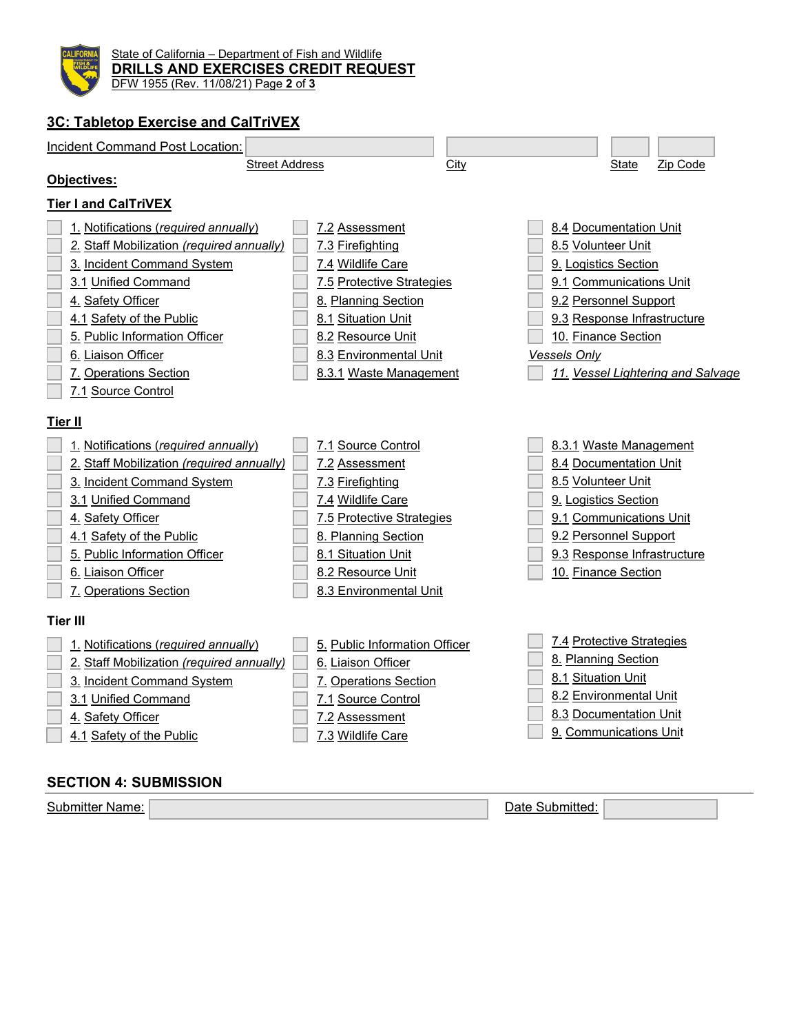

State of California – Department of Fish and Wildlife **DRILLS AND EXERCISES CREDIT REQUEST** DFW 1955 (Rev. 11/08/21) Page **2** of **3**

# **3C: Tabletop Exercise and CalTriVEX**



# **SECTION 4: SUBMISSION**

Submitter Name: Name: Name: Date Submitted: Name: Name: Date Submitted: Date Submitted: Name: Name: Name: Name: Name: Name: Name: Name: Name: Name: Name: Name: Name: Name: Name: Name: Name: Name: Name: Name: Name: Name: Na